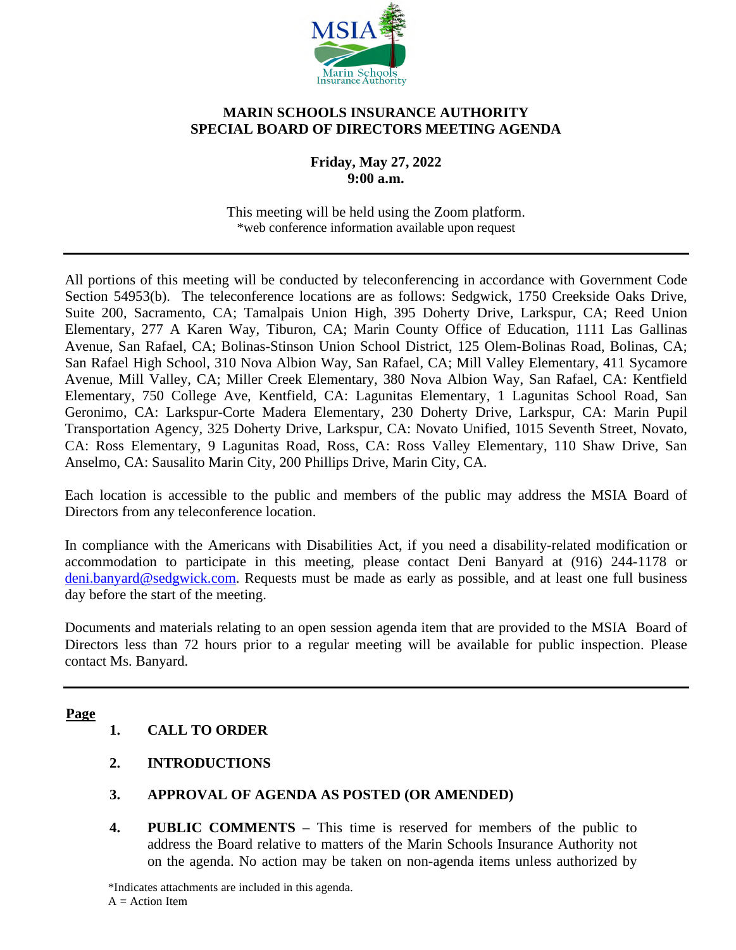

### **MARIN SCHOOLS INSURANCE AUTHORITY SPECIAL BOARD OF DIRECTORS MEETING AGENDA**

**Friday, May 27, 2022 9:00 a.m.** 

This meeting will be held using the Zoom platform. \*web conference information available upon request

All portions of this meeting will be conducted by teleconferencing in accordance with Government Code Section 54953(b). The teleconference locations are as follows: Sedgwick, 1750 Creekside Oaks Drive, Suite 200, Sacramento, CA; Tamalpais Union High, 395 Doherty Drive, Larkspur, CA; Reed Union Elementary, 277 A Karen Way, Tiburon, CA; Marin County Office of Education, 1111 Las Gallinas Avenue, San Rafael, CA; Bolinas-Stinson Union School District, 125 Olem-Bolinas Road, Bolinas, CA; San Rafael High School, 310 Nova Albion Way, San Rafael, CA; Mill Valley Elementary, 411 Sycamore Avenue, Mill Valley, CA; Miller Creek Elementary, 380 Nova Albion Way, San Rafael, CA: Kentfield Elementary, 750 College Ave, Kentfield, CA: Lagunitas Elementary, 1 Lagunitas School Road, San Geronimo, CA: Larkspur-Corte Madera Elementary, 230 Doherty Drive, Larkspur, CA: Marin Pupil Transportation Agency, 325 Doherty Drive, Larkspur, CA: Novato Unified, 1015 Seventh Street, Novato, CA: Ross Elementary, 9 Lagunitas Road, Ross, CA: Ross Valley Elementary, 110 Shaw Drive, San Anselmo, CA: Sausalito Marin City, 200 Phillips Drive, Marin City, CA.

Each location is accessible to the public and members of the public may address the MSIA Board of Directors from any teleconference location.

In compliance with the Americans with Disabilities Act, if you need a disability-related modification or accommodation to participate in this meeting, please contact Deni Banyard at (916) 244-1178 or [deni.banyard@sedgwick.com.](https://sedgwickclaims.sharepoint.com/teams/MSIATeam/Shared%20Documents/General/Meetings/Agendas/2021-22/deni.banyard@sedgwick.com) Requests must be made as early as possible, and at least one full business day before the start of the meeting.

Documents and materials relating to an open session agenda item that are provided to the MSIA Board of Directors less than 72 hours prior to a regular meeting will be available for public inspection. Please contact Ms. Banyard.

#### **Page**

# **1. CALL TO ORDER**

- **2. INTRODUCTIONS**
- **3. APPROVAL OF AGENDA AS POSTED (OR AMENDED)**
- **4. PUBLIC COMMENTS**  This time is reserved for members of the public to address the Board relative to matters of the Marin Schools Insurance Authority not on the agenda. No action may be taken on non-agenda items unless authorized by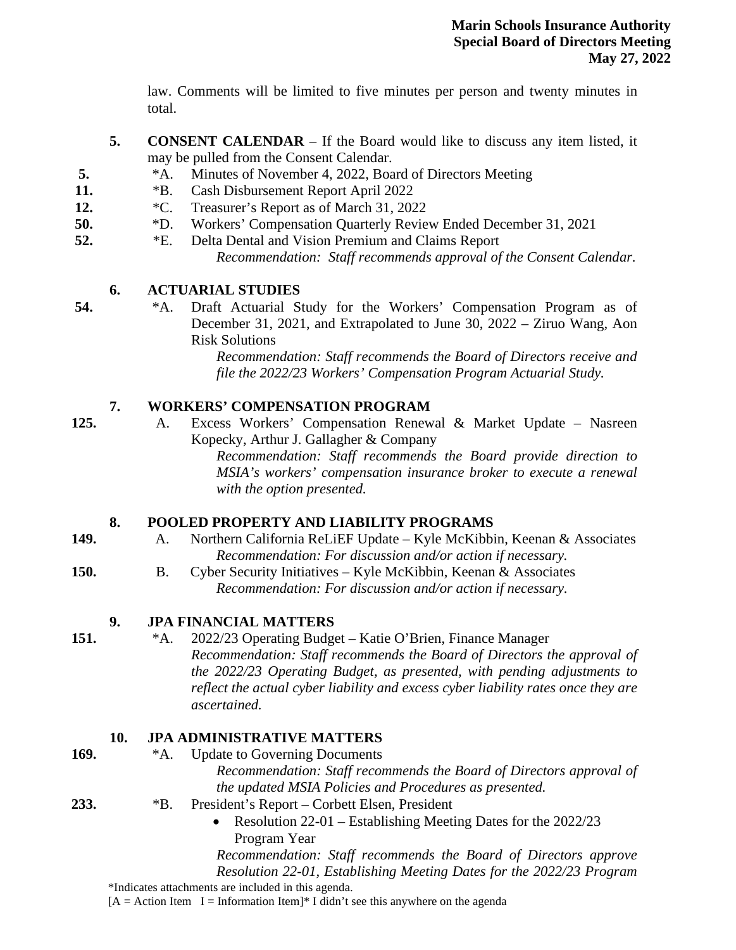law. Comments will be limited to five minutes per person and twenty minutes in total.

- **5. CONSENT CALENDAR**  If the Board would like to discuss any item listed, it may be pulled from the Consent Calendar.
- **5.** \*A. Minutes of November 4, 2022, Board of Directors Meeting
- **11.** \*B. Cash Disbursement Report April 2022
- **12.** \*C. Treasurer's Report as of March 31, 2022
- **50.** \*D. Workers' Compensation Quarterly Review Ended December 31, 2021
- **52.** \*E. Delta Dental and Vision Premium and Claims Report *Recommendation: Staff recommends approval of the Consent Calendar.*

### **6. ACTUARIAL STUDIES**

**54.** \*A. Draft Actuarial Study for the Workers' Compensation Program as of December 31, 2021, and Extrapolated to June 30, 2022 – Ziruo Wang, Aon Risk Solutions

*Recommendation: Staff recommends the Board of Directors receive and file the 2022/23 Workers' Compensation Program Actuarial Study.*

### **7. WORKERS' COMPENSATION PROGRAM**

**125.** A. Excess Workers' Compensation Renewal & Market Update – Nasreen Kopecky, Arthur J. Gallagher & Company *Recommendation: Staff recommends the Board provide direction to* 

*MSIA's workers' compensation insurance broker to execute a renewal with the option presented.* 

### **8. POOLED PROPERTY AND LIABILITY PROGRAMS**

- **149.** A. Northern California ReLiEF Update Kyle McKibbin, Keenan & Associates *Recommendation: For discussion and/or action if necessary.*
- **150.** B. Cyber Security Initiatives Kyle McKibbin, Keenan & Associates *Recommendation: For discussion and/or action if necessary.*

### **9. JPA FINANCIAL MATTERS**

**151.** \*A. 2022/23 Operating Budget – Katie O'Brien, Finance Manager *Recommendation: Staff recommends the Board of Directors the approval of the 2022/23 Operating Budget, as presented, with pending adjustments to reflect the actual cyber liability and excess cyber liability rates once they are ascertained.*

### **10. JPA ADMINISTRATIVE MATTERS**

169. \*\* A. Update to Governing Documents

*Recommendation: Staff recommends the Board of Directors approval of the updated MSIA Policies and Procedures as presented.*

**233.** \*B. President's Report – Corbett Elsen, President

 Resolution 22-01 – Establishing Meeting Dates for the 2022/23 Program Year

*Recommendation: Staff recommends the Board of Directors approve Resolution 22-01, Establishing Meeting Dates for the 2022/23 Program* 

\*Indicates attachments are included in this agenda.

 $[A = Action Item I = Information Item]*I didn't see this anywhere on the agenda$